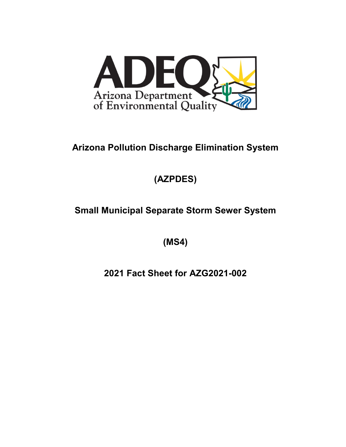

## **Arizona Pollution Discharge Elimination System**

# **(AZPDES)**

## **Small Municipal Separate Storm Sewer System**

**(MS4)**

**2021 Fact Sheet for AZG2021-002**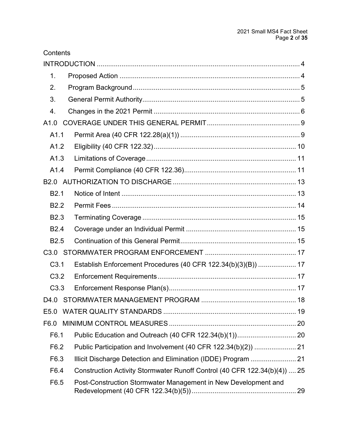| Contents         |                                                                           |  |
|------------------|---------------------------------------------------------------------------|--|
|                  |                                                                           |  |
| 1 <sub>1</sub>   |                                                                           |  |
| 2.               |                                                                           |  |
| 3.               |                                                                           |  |
| $\overline{4}$ . |                                                                           |  |
| A1.0             |                                                                           |  |
| A1.1             |                                                                           |  |
| A1.2             |                                                                           |  |
| A1.3             |                                                                           |  |
| A1.4             |                                                                           |  |
|                  |                                                                           |  |
| B <sub>2.1</sub> |                                                                           |  |
| B <sub>2.2</sub> |                                                                           |  |
| <b>B2.3</b>      |                                                                           |  |
| <b>B2.4</b>      |                                                                           |  |
| B <sub>2.5</sub> |                                                                           |  |
|                  |                                                                           |  |
| C <sub>3.1</sub> | Establish Enforcement Procedures (40 CFR 122.34(b)(3)(B))  17             |  |
| C3.2             |                                                                           |  |
| C3.3             |                                                                           |  |
| D4.0             |                                                                           |  |
| E <sub>5.0</sub> |                                                                           |  |
| F6.0             |                                                                           |  |
| F6.1             |                                                                           |  |
| F6.2             |                                                                           |  |
| F6.3             | Illicit Discharge Detection and Elimination (IDDE) Program  21            |  |
| F6.4             | Construction Activity Stormwater Runoff Control (40 CFR 122.34(b)(4))  25 |  |
| F6.5             | Post-Construction Stormwater Management in New Development and            |  |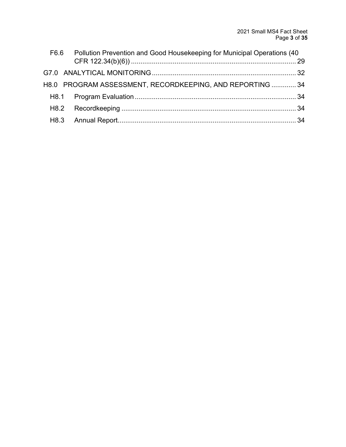| F6.6 | Pollution Prevention and Good Housekeeping for Municipal Operations (40 |  |
|------|-------------------------------------------------------------------------|--|
|      |                                                                         |  |
|      |                                                                         |  |
|      | H8.0 PROGRAM ASSESSMENT, RECORDKEEPING, AND REPORTING  34               |  |
|      |                                                                         |  |
|      |                                                                         |  |
|      |                                                                         |  |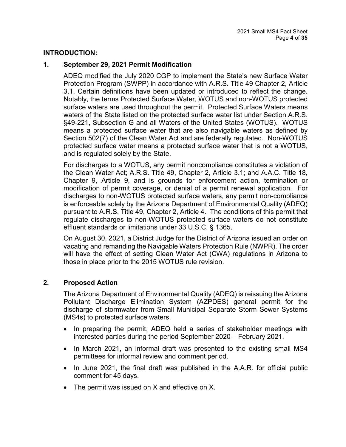#### <span id="page-3-0"></span>**INTRODUCTION:**

#### <span id="page-3-1"></span>**1. September 29, 2021 Permit Modification**

ADEQ modified the July 2020 CGP to implement the State's new Surface Water Protection Program (SWPP) in accordance with A.R.S. Title 49 Chapter 2, Article 3.1. Certain definitions have been updated or introduced to reflect the change. Notably, the terms Protected Surface Water, WOTUS and non-WOTUS protected surface waters are used throughout the permit. Protected Surface Waters means waters of the State listed on the protected surface water list under Section A.R.S. §49-221, Subsection G and all Waters of the United States (WOTUS). WOTUS means a protected surface water that are also navigable waters as defined by Section 502(7) of the Clean Water Act and are federally regulated. Non-WOTUS protected surface water means a protected surface water that is not a WOTUS, and is regulated solely by the State.

For discharges to a WOTUS, any permit noncompliance constitutes a violation of the Clean Water Act; A.R.S. Title 49, Chapter 2, Article 3.1; and A.A.C. Title 18, Chapter 9, Article 9, and is grounds for enforcement action, termination or modification of permit coverage, or denial of a permit renewal application. For discharges to non-WOTUS protected surface waters, any permit non-compliance is enforceable solely by the Arizona Department of Environmental Quality (ADEQ) pursuant to A.R.S. Title 49, Chapter 2, Article 4. The conditions of this permit that regulate discharges to non-WOTUS protected surface waters do not constitute effluent standards or limitations under 33 U.S.C. § 1365.

On August 30, 2021, a District Judge for the District of Arizona issued an order on vacating and remanding the Navigable Waters Protection Rule (NWPR). The order will have the effect of setting Clean Water Act (CWA) regulations in Arizona to those in place prior to the 2015 WOTUS rule revision.

#### **2. Proposed Action**

The Arizona Department of Environmental Quality (ADEQ) is reissuing the Arizona Pollutant Discharge Elimination System (AZPDES) general permit for the discharge of stormwater from Small Municipal Separate Storm Sewer Systems (MS4s) to protected surface waters.

- In preparing the permit, ADEQ held a series of stakeholder meetings with interested parties during the period September 2020 – February 2021.
- In March 2021, an informal draft was presented to the existing small MS4 permittees for informal review and comment period.
- In June 2021, the final draft was published in the A.A.R. for official public comment for 45 days.
- <span id="page-3-2"></span>• The permit was issued on X and effective on X.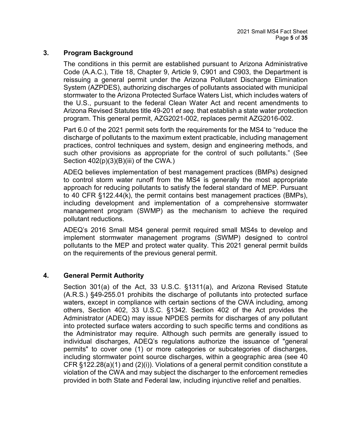### **3. Program Background**

The conditions in this permit are established pursuant to Arizona Administrative Code (A.A.C.), Title 18, Chapter 9, Article 9, C901 and C903, the Department is reissuing a general permit under the Arizona Pollutant Discharge Elimination System (AZPDES), authorizing discharges of pollutants associated with municipal stormwater to the Arizona Protected Surface Waters List, which includes waters of the U.S., pursuant to the federal Clean Water Act and recent amendments to Arizona Revised Statutes title 49-201 *et seq*. that establish a state water protection program. This general permit, AZG2021-002, replaces permit AZG2016-002.

Part 6.0 of the 2021 permit sets forth the requirements for the MS4 to "reduce the discharge of pollutants to the maximum extent practicable, including management practices, control techniques and system, design and engineering methods, and such other provisions as appropriate for the control of such pollutants." (See Section  $402(p)(3)(B)(iii)$  of the CWA.)

ADEQ believes implementation of best management practices (BMPs) designed to control storm water runoff from the MS4 is generally the most appropriate approach for reducing pollutants to satisfy the federal standard of MEP. Pursuant to 40 CFR §122.44(k), the permit contains best management practices (BMPs), including development and implementation of a comprehensive stormwater management program (SWMP) as the mechanism to achieve the required pollutant reductions.

ADEQ's 2016 Small MS4 general permit required small MS4s to develop and implement stormwater management programs (SWMP) designed to control pollutants to the MEP and protect water quality. This 2021 general permit builds on the requirements of the previous general permit.

#### <span id="page-4-0"></span>**4. General Permit Authority**

Section 301(a) of the Act, 33 U.S.C. §1311(a), and Arizona Revised Statute (A.R.S.) §49-255.01 prohibits the discharge of pollutants into protected surface waters, except in compliance with certain sections of the CWA including, among others, Section 402, 33 U.S.C. §1342. Section 402 of the Act provides the Administrator (ADEQ) may issue NPDES permits for discharges of any pollutant into protected surface waters according to such specific terms and conditions as the Administrator may require. Although such permits are generally issued to individual discharges, ADEQ's regulations authorize the issuance of "general permits" to cover one (1) or more categories or subcategories of discharges, including stormwater point source discharges, within a geographic area (see 40 CFR §122.28(a)(1) and (2)(i)). Violations of a general permit condition constitute a violation of the CWA and may subject the discharger to the enforcement remedies provided in both State and Federal law, including injunctive relief and penalties.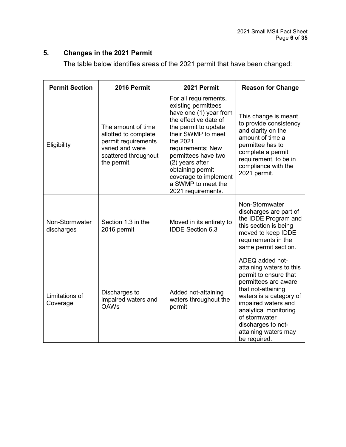## <span id="page-5-0"></span>**5. Changes in the 2021 Permit**

The table below identifies areas of the 2021 permit that have been changed:

| <b>Permit Section</b>        | 2016 Permit                                                                                                                 | 2021 Permit                                                                                                                                                                                                                                                                                                       | <b>Reason for Change</b>                                                                                                                                                                                                                                                     |
|------------------------------|-----------------------------------------------------------------------------------------------------------------------------|-------------------------------------------------------------------------------------------------------------------------------------------------------------------------------------------------------------------------------------------------------------------------------------------------------------------|------------------------------------------------------------------------------------------------------------------------------------------------------------------------------------------------------------------------------------------------------------------------------|
| Eligibility                  | The amount of time<br>allotted to complete<br>permit requirements<br>varied and were<br>scattered throughout<br>the permit. | For all requirements,<br>existing permittees<br>have one (1) year from<br>the effective date of<br>the permit to update<br>their SWMP to meet<br>the 2021<br>requirements; New<br>permittees have two<br>(2) years after<br>obtaining permit<br>coverage to implement<br>a SWMP to meet the<br>2021 requirements. | This change is meant<br>to provide consistency<br>and clarity on the<br>amount of time a<br>permittee has to<br>complete a permit<br>requirement, to be in<br>compliance with the<br>2021 permit.                                                                            |
| Non-Stormwater<br>discharges | Section 1.3 in the<br>2016 permit                                                                                           | Moved in its entirety to<br><b>IDDE Section 6.3</b>                                                                                                                                                                                                                                                               | Non-Stormwater<br>discharges are part of<br>the IDDE Program and<br>this section is being<br>moved to keep IDDE<br>requirements in the<br>same permit section.                                                                                                               |
| Limitations of<br>Coverage   | Discharges to<br>impaired waters and<br><b>OAWs</b>                                                                         | Added not-attaining<br>waters throughout the<br>permit                                                                                                                                                                                                                                                            | ADEQ added not-<br>attaining waters to this<br>permit to ensure that<br>permittees are aware<br>that not-attaining<br>waters is a category of<br>impaired waters and<br>analytical monitoring<br>of stormwater<br>discharges to not-<br>attaining waters may<br>be required. |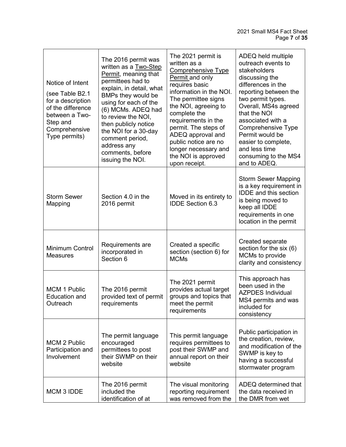| Notice of Intent<br>(see Table B2.1<br>for a description<br>of the difference<br>between a Two-<br>Step and<br>Comprehensive<br>Type permits) | The 2016 permit was<br>written as a Two-Step<br>Permit, meaning that<br>permittees had to<br>explain, in detail, what<br>BMPs they would be<br>using for each of the<br>(6) MCMs. ADEQ had<br>to review the NOI,<br>then publicly notice<br>the NOI for a 30-day<br>comment period,<br>address any<br>comments, before<br>issuing the NOI. | The 2021 permit is<br>written as a<br><b>Comprehensive Type</b><br>Permit and only<br>requires basic<br>information in the NOI.<br>The permittee signs<br>the NOI, agreeing to<br>complete the<br>requirements in the<br>permit. The steps of<br>ADEQ approval and<br>public notice are no<br>longer necessary and<br>the NOI is approved<br>upon receipt. | ADEQ held multiple<br>outreach events to<br>stakeholders<br>discussing the<br>differences in the<br>reporting between the<br>two permit types.<br>Overall, MS4s agreed<br>that the NOI<br>associated with a<br>Comprehensive Type<br>Permit would be<br>easier to complete,<br>and less time<br>consuming to the MS4<br>and to ADEQ. |
|-----------------------------------------------------------------------------------------------------------------------------------------------|--------------------------------------------------------------------------------------------------------------------------------------------------------------------------------------------------------------------------------------------------------------------------------------------------------------------------------------------|------------------------------------------------------------------------------------------------------------------------------------------------------------------------------------------------------------------------------------------------------------------------------------------------------------------------------------------------------------|--------------------------------------------------------------------------------------------------------------------------------------------------------------------------------------------------------------------------------------------------------------------------------------------------------------------------------------|
| <b>Storm Sewer</b><br>Mapping                                                                                                                 | Section 4.0 in the<br>2016 permit                                                                                                                                                                                                                                                                                                          | Moved in its entirety to<br><b>IDDE Section 6.3</b>                                                                                                                                                                                                                                                                                                        | <b>Storm Sewer Mapping</b><br>is a key requirement in<br><b>IDDE</b> and this section<br>is being moved to<br>keep all IDDE<br>requirements in one<br>location in the permit                                                                                                                                                         |
| Minimum Control<br><b>Measures</b>                                                                                                            | Requirements are<br>incorporated in<br>Section 6                                                                                                                                                                                                                                                                                           | Created a specific<br>section (section 6) for<br><b>MCMs</b>                                                                                                                                                                                                                                                                                               | Created separate<br>section for the six (6)<br>MCMs to provide<br>clarity and consistency                                                                                                                                                                                                                                            |
| <b>MCM 1 Public</b><br><b>Education and</b><br>Outreach                                                                                       | The 2016 permit<br>provided text of permit<br>requirements                                                                                                                                                                                                                                                                                 | The 2021 permit<br>provides actual target<br>groups and topics that<br>meet the permit<br>requirements                                                                                                                                                                                                                                                     | This approach has<br>been used in the<br><b>AZPDES Individual</b><br>MS4 permits and was<br>included for<br>consistency                                                                                                                                                                                                              |
| <b>MCM 2 Public</b><br>Participation and<br>Involvement                                                                                       | The permit language<br>encouraged<br>permittees to post<br>their SWMP on their<br>website                                                                                                                                                                                                                                                  | This permit language<br>requires permittees to<br>post their SWMP and<br>annual report on their<br>website                                                                                                                                                                                                                                                 | Public participation in<br>the creation, review,<br>and modification of the<br>SWMP is key to<br>having a successful<br>stormwater program                                                                                                                                                                                           |
| MCM 3 IDDE                                                                                                                                    | The 2016 permit<br>included the<br>identification of at                                                                                                                                                                                                                                                                                    | The visual monitoring<br>reporting requirement<br>was removed from the                                                                                                                                                                                                                                                                                     | ADEQ determined that<br>the data received in<br>the DMR from wet                                                                                                                                                                                                                                                                     |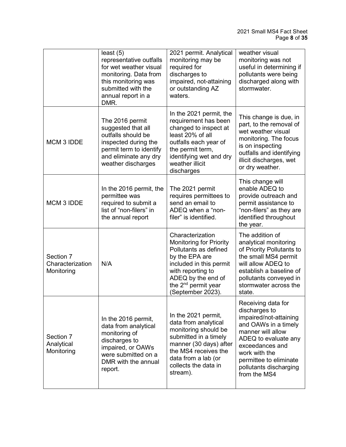|                                             | least(5)<br>representative outfalls<br>for wet weather visual<br>monitoring. Data from<br>this monitoring was<br>submitted with the<br>annual report in a<br>DMR. | 2021 permit. Analytical<br>monitoring may be<br>required for<br>discharges to<br>impaired, not-attaining<br>or outstanding AZ<br>waters.                                                                                    | weather visual<br>monitoring was not<br>useful in determining if<br>pollutants were being<br>discharged along with<br>stormwater.                                                                                                          |
|---------------------------------------------|-------------------------------------------------------------------------------------------------------------------------------------------------------------------|-----------------------------------------------------------------------------------------------------------------------------------------------------------------------------------------------------------------------------|--------------------------------------------------------------------------------------------------------------------------------------------------------------------------------------------------------------------------------------------|
| MCM 3 IDDE                                  | The 2016 permit<br>suggested that all<br>outfalls should be<br>inspected during the<br>permit term to identify<br>and eliminate any dry<br>weather discharges     | In the 2021 permit, the<br>requirement has been<br>changed to inspect at<br>least 20% of all<br>outfalls each year of<br>the permit term,<br>identifying wet and dry<br>weather illicit<br>discharges                       | This change is due, in<br>part, to the removal of<br>wet weather visual<br>monitoring. The focus<br>is on inspecting<br>outfalls and identifying<br>illicit discharges, wet<br>or dry weather.                                             |
| MCM 3 IDDE                                  | In the 2016 permit, the<br>permittee was<br>required to submit a<br>list of "non-filers" in<br>the annual report                                                  | The 2021 permit<br>requires permittees to<br>send an email to<br>ADEQ when a "non-<br>filer" is identified.                                                                                                                 | This change will<br>enable ADEQ to<br>provide outreach and<br>permit assistance to<br>"non-filers" as they are<br>identified throughout<br>the year.                                                                                       |
| Section 7<br>Characterization<br>Monitoring | N/A                                                                                                                                                               | Characterization<br><b>Monitoring for Priority</b><br>Pollutants as defined<br>by the EPA are<br>included in this permit<br>with reporting to<br>ADEQ by the end of<br>the 2 <sup>nd</sup> permit year<br>(September 2023). | The addition of<br>analytical monitoring<br>of Priority Pollutants to<br>the small MS4 permit<br>will allow ADEQ to<br>establish a baseline of<br>pollutants conveyed in<br>stormwater across the<br>state.                                |
| Section 7<br>Analytical<br>Monitoring       | In the 2016 permit,<br>data from analytical<br>monitoring of<br>discharges to<br>impaired, or OAWs<br>were submitted on a<br>DMR with the annual<br>report.       | In the 2021 permit,<br>data from analytical<br>monitoring should be<br>submitted in a timely<br>manner (30 days) after<br>the MS4 receives the<br>data from a lab (or<br>collects the data in<br>stream).                   | Receiving data for<br>discharges to<br>impaired/not-attaining<br>and OAWs in a timely<br>manner will allow<br>ADEQ to evaluate any<br>exceedances and<br>work with the<br>permittee to eliminate<br>pollutants discharging<br>from the MS4 |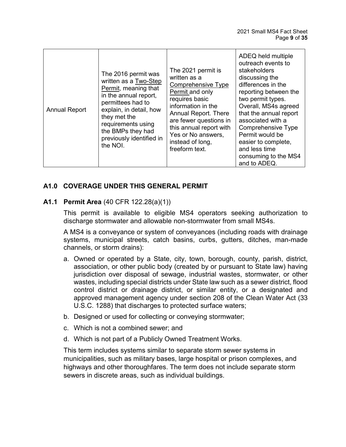| <b>Annual Report</b> | The 2016 permit was<br>written as a Two-Step<br>Permit, meaning that<br>in the annual report,<br>permittees had to<br>explain, in detail, how<br>they met the<br>requirements using<br>the BMPs they had<br>previously identified in<br>the NOI. | The 2021 permit is<br>written as a<br><b>Comprehensive Type</b><br>Permit and only<br>requires basic<br>information in the<br>Annual Report. There<br>are fewer questions in<br>this annual report with<br>Yes or No answers,<br>instead of long,<br>freeform text. | ADEQ held multiple<br>outreach events to<br>stakeholders<br>discussing the<br>differences in the<br>reporting between the<br>two permit types.<br>Overall, MS4s agreed<br>that the annual report<br>associated with a<br>Comprehensive Type<br>Permit would be<br>easier to complete,<br>and less time<br>consuming to the MS4<br>and to ADEQ. |
|----------------------|--------------------------------------------------------------------------------------------------------------------------------------------------------------------------------------------------------------------------------------------------|---------------------------------------------------------------------------------------------------------------------------------------------------------------------------------------------------------------------------------------------------------------------|------------------------------------------------------------------------------------------------------------------------------------------------------------------------------------------------------------------------------------------------------------------------------------------------------------------------------------------------|
|----------------------|--------------------------------------------------------------------------------------------------------------------------------------------------------------------------------------------------------------------------------------------------|---------------------------------------------------------------------------------------------------------------------------------------------------------------------------------------------------------------------------------------------------------------------|------------------------------------------------------------------------------------------------------------------------------------------------------------------------------------------------------------------------------------------------------------------------------------------------------------------------------------------------|

## <span id="page-8-0"></span>**A1.0 COVERAGE UNDER THIS GENERAL PERMIT**

#### <span id="page-8-1"></span>**A1.1 Permit Area** (40 CFR 122.28(a)(1))

This permit is available to eligible MS4 operators seeking authorization to discharge stormwater and allowable non-stormwater from small MS4s.

A MS4 is a conveyance or system of conveyances (including roads with drainage systems, municipal streets, catch basins, curbs, gutters, ditches, man-made channels, or storm drains):

- a. Owned or operated by a State, city, town, borough, county, parish, district, association, or other public body (created by or pursuant to State law) having jurisdiction over disposal of sewage, industrial wastes, stormwater, or other wastes, including special districts under State law such as a sewer district, flood control district or drainage district, or similar entity, or a designated and approved management agency under section 208 of the Clean Water Act (33 U.S.C. 1288) that discharges to protected surface waters;
- b. Designed or used for collecting or conveying stormwater;
- c. Which is not a combined sewer; and
- d. Which is not part of a Publicly Owned Treatment Works.

This term includes systems similar to separate storm sewer systems in municipalities, such as military bases, large hospital or prison complexes, and highways and other thoroughfares. The term does not include separate storm sewers in discrete areas, such as individual buildings.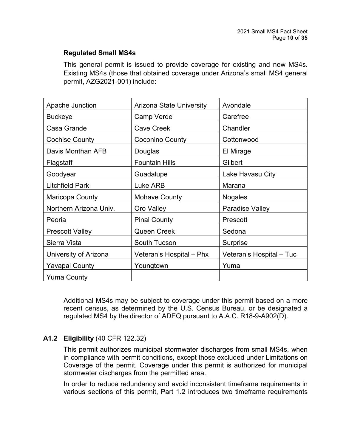### **Regulated Small MS4s**

This general permit is issued to provide coverage for existing and new MS4s. Existing MS4s (those that obtained coverage under Arizona's small MS4 general permit, AZG2021-001) include:

| Apache Junction        | <b>Arizona State University</b> | Avondale                 |
|------------------------|---------------------------------|--------------------------|
| <b>Buckeye</b>         | Camp Verde                      | Carefree                 |
| Casa Grande            | <b>Cave Creek</b>               | Chandler                 |
| <b>Cochise County</b>  | Coconino County                 | Cottonwood               |
| Davis Monthan AFB      | Douglas                         | El Mirage                |
| Flagstaff              | <b>Fountain Hills</b>           | Gilbert                  |
| Goodyear               | Guadalupe                       | Lake Havasu City         |
| <b>Litchfield Park</b> | Luke ARB                        | Marana                   |
| Maricopa County        | Mohave County                   | <b>Nogales</b>           |
| Northern Arizona Univ. | Oro Valley                      | Paradise Valley          |
| Peoria                 | <b>Pinal County</b>             | Prescott                 |
| <b>Prescott Valley</b> | <b>Queen Creek</b>              | Sedona                   |
| Sierra Vista           | South Tucson                    | <b>Surprise</b>          |
| University of Arizona  | Veteran's Hospital - Phx        | Veteran's Hospital - Tuc |
| Yavapai County         | Youngtown                       | Yuma                     |
| <b>Yuma County</b>     |                                 |                          |

Additional MS4s may be subject to coverage under this permit based on a more recent census, as determined by the U.S. Census Bureau, or be designated a regulated MS4 by the director of ADEQ pursuant to A.A.C. R18-9-A902(D).

## <span id="page-9-0"></span>**A1.2 Eligibility** (40 CFR 122.32)

This permit authorizes municipal stormwater discharges from small MS4s, when in compliance with permit conditions, except those excluded under Limitations on Coverage of the permit. Coverage under this permit is authorized for municipal stormwater discharges from the permitted area.

In order to reduce redundancy and avoid inconsistent timeframe requirements in various sections of this permit, Part 1.2 introduces two timeframe requirements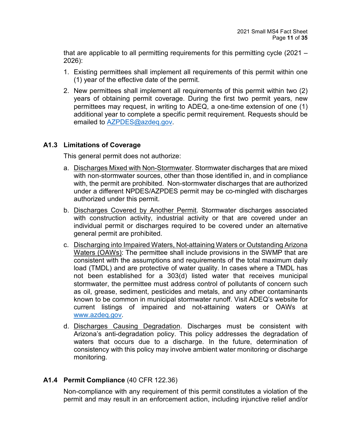that are applicable to all permitting requirements for this permitting cycle (2021 – 2026):

- 1. Existing permittees shall implement all requirements of this permit within one (1) year of the effective date of the permit.
- 2. New permittees shall implement all requirements of this permit within two (2) years of obtaining permit coverage. During the first two permit years, new permittees may request, in writing to ADEQ, a one-time extension of one (1) additional year to complete a specific permit requirement. Requests should be emailed to **AZPDES@azdeq.gov**

## <span id="page-10-0"></span>**A1.3 Limitations of Coverage**

This general permit does not authorize:

- a. Discharges Mixed with Non-Stormwater. Stormwater discharges that are mixed with non-stormwater sources, other than those identified in, and in compliance with, the permit are prohibited. Non-stormwater discharges that are authorized under a different NPDES/AZPDES permit may be co-mingled with discharges authorized under this permit.
- b. Discharges Covered by Another Permit. Stormwater discharges associated with construction activity, industrial activity or that are covered under an individual permit or discharges required to be covered under an alternative general permit are prohibited.
- c. Discharging into Impaired Waters, Not-attaining Waters or Outstanding Arizona Waters (OAWs): The permittee shall include provisions in the SWMP that are consistent with the assumptions and requirements of the total maximum daily load (TMDL) and are protective of water quality. In cases where a TMDL has not been established for a 303(d) listed water that receives municipal stormwater, the permittee must address control of pollutants of concern such as oil, grease, sediment, pesticides and metals, and any other contaminants known to be common in municipal stormwater runoff. Visit ADEQ's website for current listings of impaired and not-attaining waters or OAWs at [www.azdeq.gov.](http://www.azdeq.gov/)
- d. Discharges Causing Degradation. Discharges must be consistent with Arizona's anti-degradation policy. This policy addresses the degradation of waters that occurs due to a discharge. In the future, determination of consistency with this policy may involve ambient water monitoring or discharge monitoring.

## <span id="page-10-1"></span>**A1.4 Permit Compliance** (40 CFR 122.36)

Non-compliance with any requirement of this permit constitutes a violation of the permit and may result in an enforcement action, including injunctive relief and/or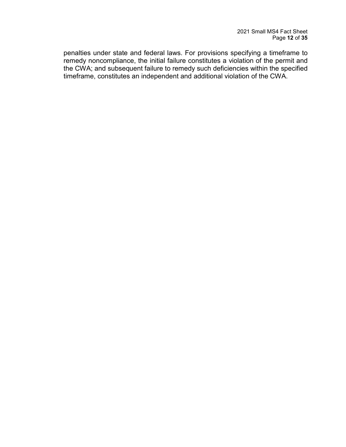<span id="page-11-0"></span>penalties under state and federal laws. For provisions specifying a timeframe to remedy noncompliance, the initial failure constitutes a violation of the permit and the CWA; and subsequent failure to remedy such deficiencies within the specified timeframe, constitutes an independent and additional violation of the CWA.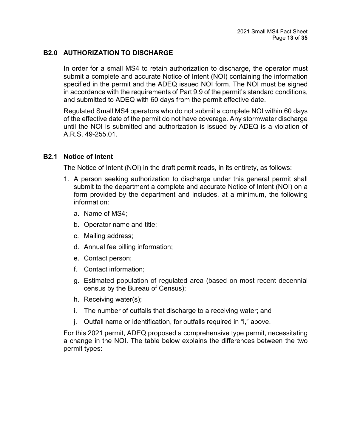## **B2.0 AUTHORIZATION TO DISCHARGE**

In order for a small MS4 to retain authorization to discharge, the operator must submit a complete and accurate Notice of Intent (NOI) containing the information specified in the permit and the ADEQ issued NOI form. The NOI must be signed in accordance with the requirements of Part 9.9 of the permit's standard conditions, and submitted to ADEQ with 60 days from the permit effective date.

Regulated Small MS4 operators who do not submit a complete NOI within 60 days of the effective date of the permit do not have coverage. Any stormwater discharge until the NOI is submitted and authorization is issued by ADEQ is a violation of A.R.S. 49-255.01.

#### <span id="page-12-0"></span>**B2.1 Notice of Intent**

The Notice of Intent (NOI) in the draft permit reads, in its entirety, as follows:

- 1. A person seeking authorization to discharge under this general permit shall submit to the department a complete and accurate Notice of Intent (NOI) on a form provided by the department and includes, at a minimum, the following information:
	- a. Name of MS4;
	- b. Operator name and title;
	- c. Mailing address;
	- d. Annual fee billing information;
	- e. Contact person;
	- f. Contact information;
	- g. Estimated population of regulated area (based on most recent decennial census by the Bureau of Census);
	- h. Receiving water(s);
	- i. The number of outfalls that discharge to a receiving water; and
	- j. Outfall name or identification, for outfalls required in "i," above.

For this 2021 permit, ADEQ proposed a comprehensive type permit, necessitating a change in the NOI. The table below explains the differences between the two permit types: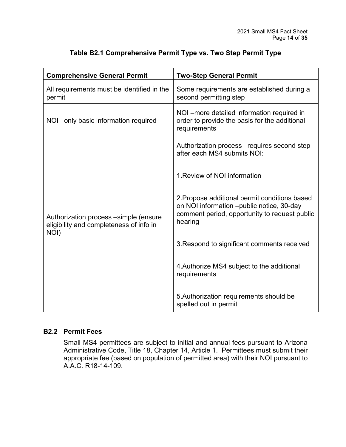| <b>Comprehensive General Permit</b>                                                      | <b>Two-Step General Permit</b>                                                                                                                         |  |
|------------------------------------------------------------------------------------------|--------------------------------------------------------------------------------------------------------------------------------------------------------|--|
| All requirements must be identified in the<br>permit                                     | Some requirements are established during a<br>second permitting step                                                                                   |  |
| NOI-only basic information required                                                      | NOI-more detailed information required in<br>order to provide the basis for the additional<br>requirements                                             |  |
|                                                                                          | Authorization process - requires second step<br>after each MS4 submits NOI:                                                                            |  |
|                                                                                          | 1. Review of NOI information                                                                                                                           |  |
| Authorization process -simple (ensure<br>eligibility and completeness of info in<br>NOI) | 2. Propose additional permit conditions based<br>on NOI information -public notice, 30-day<br>comment period, opportunity to request public<br>hearing |  |
|                                                                                          | 3. Respond to significant comments received                                                                                                            |  |
|                                                                                          | 4. Authorize MS4 subject to the additional<br>requirements                                                                                             |  |
|                                                                                          | 5. Authorization requirements should be<br>spelled out in permit                                                                                       |  |

## **Table B2.1 Comprehensive Permit Type vs. Two Step Permit Type**

#### <span id="page-13-0"></span>**B2.2 Permit Fees**

Small MS4 permittees are subject to initial and annual fees pursuant to Arizona Administrative Code, Title 18, Chapter 14, Article 1. Permittees must submit their appropriate fee (based on population of permitted area) with their NOI pursuant to A.A.C. R18-14-109.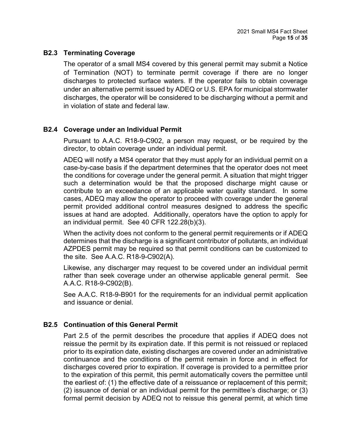### <span id="page-14-0"></span>**B2.3 Terminating Coverage**

The operator of a small MS4 covered by this general permit may submit a Notice of Termination (NOT) to terminate permit coverage if there are no longer discharges to protected surface waters. If the operator fails to obtain coverage under an alternative permit issued by ADEQ or U.S. EPA for municipal stormwater discharges, the operator will be considered to be discharging without a permit and in violation of state and federal law.

## <span id="page-14-1"></span>**B2.4 Coverage under an Individual Permit**

Pursuant to A.A.C. R18-9-C902, a person may request, or be required by the director, to obtain coverage under an individual permit.

ADEQ will notify a MS4 operator that they must apply for an individual permit on a case-by-case basis if the department determines that the operator does not meet the conditions for coverage under the general permit. A situation that might trigger such a determination would be that the proposed discharge might cause or contribute to an exceedance of an applicable water quality standard. In some cases, ADEQ may allow the operator to proceed with coverage under the general permit provided additional control measures designed to address the specific issues at hand are adopted. Additionally, operators have the option to apply for an individual permit. See 40 CFR 122.28(b)(3).

When the activity does not conform to the general permit requirements or if ADEQ determines that the discharge is a significant contributor of pollutants, an individual AZPDES permit may be required so that permit conditions can be customized to the site. See A.A.C. R18-9-C902(A).

Likewise, any discharger may request to be covered under an individual permit rather than seek coverage under an otherwise applicable general permit. See A.A.C. R18-9-C902(B).

See A.A.C. R18-9-B901 for the requirements for an individual permit application and issuance or denial.

#### <span id="page-14-2"></span>**B2.5 Continuation of this General Permit**

Part 2.5 of the permit describes the procedure that applies if ADEQ does not reissue the permit by its expiration date. If this permit is not reissued or replaced prior to its expiration date, existing discharges are covered under an administrative continuance and the conditions of the permit remain in force and in effect for discharges covered prior to expiration. If coverage is provided to a permittee prior to the expiration of this permit, this permit automatically covers the permittee until the earliest of: (1) the effective date of a reissuance or replacement of this permit; (2) issuance of denial or an individual permit for the permittee's discharge; or (3) formal permit decision by ADEQ not to reissue this general permit, at which time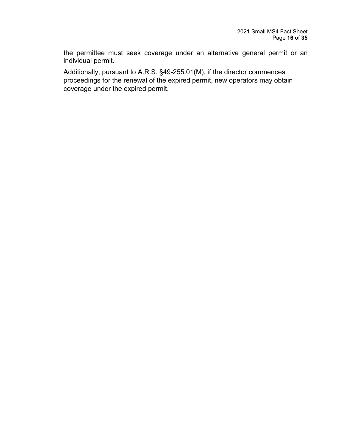the permittee must seek coverage under an alternative general permit or an individual permit.

<span id="page-15-0"></span>Additionally, pursuant to A.R.S. §49-255.01(M), if the director commences proceedings for the renewal of the expired permit, new operators may obtain coverage under the expired permit.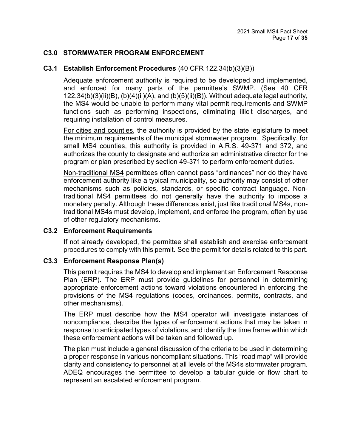#### **C3.0 STORMWATER PROGRAM ENFORCEMENT**

#### <span id="page-16-0"></span>**C3.1 Establish Enforcement Procedures** (40 CFR 122.34(b)(3)(B))

Adequate enforcement authority is required to be developed and implemented, and enforced for many parts of the permittee's SWMP. (See 40 CFR 122.34(b)(3)(ii)(B), (b)(4)(ii)(A), and (b)(5)(ii)(B)). Without adequate legal authority, the MS4 would be unable to perform many vital permit requirements and SWMP functions such as performing inspections, eliminating illicit discharges, and requiring installation of control measures.

For cities and counties, the authority is provided by the state legislature to meet the minimum requirements of the municipal stormwater program. Specifically, for small MS4 counties, this authority is provided in A.R.S. 49-371 and 372, and authorizes the county to designate and authorize an administrative director for the program or plan prescribed by section 49-371 to perform enforcement duties.

Non-traditional MS4 permittees often cannot pass "ordinances" nor do they have enforcement authority like a typical municipality, so authority may consist of other mechanisms such as policies, standards, or specific contract language. Nontraditional MS4 permittees do not generally have the authority to impose a monetary penalty. Although these differences exist, just like traditional MS4s, nontraditional MS4s must develop, implement, and enforce the program, often by use of other regulatory mechanisms.

#### <span id="page-16-1"></span>**C3.2 Enforcement Requirements**

If not already developed, the permittee shall establish and exercise enforcement procedures to comply with this permit. See the permit for details related to this part.

#### <span id="page-16-2"></span>**C3.3 Enforcement Response Plan(s)**

This permit requires the MS4 to develop and implement an Enforcement Response Plan (ERP). The ERP must provide guidelines for personnel in determining appropriate enforcement actions toward violations encountered in enforcing the provisions of the MS4 regulations (codes, ordinances, permits, contracts, and other mechanisms).

The ERP must describe how the MS4 operator will investigate instances of noncompliance, describe the types of enforcement actions that may be taken in response to anticipated types of violations, and identify the time frame within which these enforcement actions will be taken and followed up.

The plan must include a general discussion of the criteria to be used in determining a proper response in various noncompliant situations. This "road map" will provide clarity and consistency to personnel at all levels of the MS4s stormwater program. ADEQ encourages the permittee to develop a tabular guide or flow chart to represent an escalated enforcement program.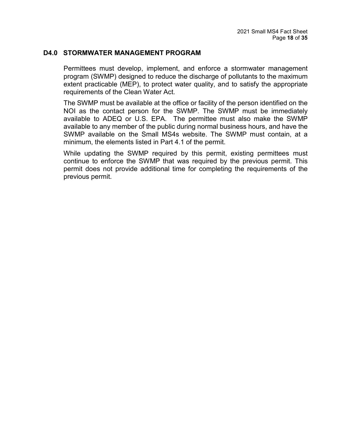#### <span id="page-17-0"></span>**D4.0 STORMWATER MANAGEMENT PROGRAM**

Permittees must develop, implement, and enforce a stormwater management program (SWMP) designed to reduce the discharge of pollutants to the maximum extent practicable (MEP), to protect water quality, and to satisfy the appropriate requirements of the Clean Water Act.

The SWMP must be available at the office or facility of the person identified on the NOI as the contact person for the SWMP. The SWMP must be immediately available to ADEQ or U.S. EPA. The permittee must also make the SWMP available to any member of the public during normal business hours, and have the SWMP available on the Small MS4s website. The SWMP must contain, at a minimum, the elements listed in Part 4.1 of the permit.

While updating the SWMP required by this permit, existing permittees must continue to enforce the SWMP that was required by the previous permit. This permit does not provide additional time for completing the requirements of the previous permit.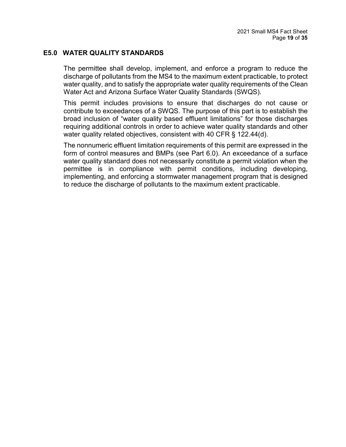#### <span id="page-18-0"></span>**E5.0 WATER QUALITY STANDARDS**

The permittee shall develop, implement, and enforce a program to reduce the discharge of pollutants from the MS4 to the maximum extent practicable, to protect water quality, and to satisfy the appropriate water quality requirements of the Clean Water Act and Arizona Surface Water Quality Standards (SWQS).

This permit includes provisions to ensure that discharges do not cause or contribute to exceedances of a SWQS. The purpose of this part is to establish the broad inclusion of "water quality based effluent limitations" for those discharges requiring additional controls in order to achieve water quality standards and other water quality related objectives, consistent with 40 CFR § 122.44(d).

The nonnumeric effluent limitation requirements of this permit are expressed in the form of control measures and BMPs (see Part 6.0). An exceedance of a surface water quality standard does not necessarily constitute a permit violation when the permittee is in compliance with permit conditions, including developing, implementing, and enforcing a stormwater management program that is designed to reduce the discharge of pollutants to the maximum extent practicable.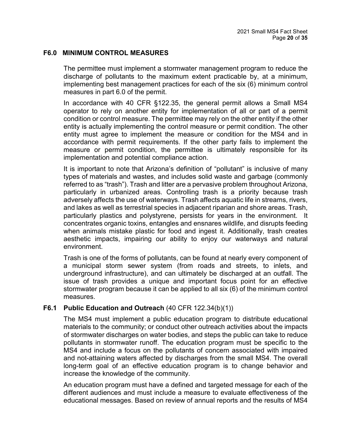#### <span id="page-19-0"></span>**F6.0 MINIMUM CONTROL MEASURES**

The permittee must implement a stormwater management program to reduce the discharge of pollutants to the maximum extent practicable by, at a minimum, implementing best management practices for each of the six (6) minimum control measures in part 6.0 of the permit.

In accordance with 40 CFR §122.35, the general permit allows a Small MS4 operator to rely on another entity for implementation of all or part of a permit condition or control measure. The permittee may rely on the other entity if the other entity is actually implementing the control measure or permit condition. The other entity must agree to implement the measure or condition for the MS4 and in accordance with permit requirements. If the other party fails to implement the measure or permit condition, the permittee is ultimately responsible for its implementation and potential compliance action.

It is important to note that Arizona's definition of "pollutant" is inclusive of many types of materials and wastes, and includes solid waste and garbage (commonly referred to as "trash"). Trash and litter are a pervasive problem throughout Arizona, particularly in urbanized areas. Controlling trash is a priority because trash adversely affects the use of waterways. Trash affects aquatic life in streams, rivers, and lakes as well as terrestrial species in adjacent riparian and shore areas. Trash, particularly plastics and polystyrene, persists for years in the environment. It concentrates organic toxins, entangles and ensnares wildlife, and disrupts feeding when animals mistake plastic for food and ingest it. Additionally, trash creates aesthetic impacts, impairing our ability to enjoy our waterways and natural environment.

Trash is one of the forms of pollutants, can be found at nearly every component of a municipal storm sewer system (from roads and streets, to inlets, and underground infrastructure), and can ultimately be discharged at an outfall. The issue of trash provides a unique and important focus point for an effective stormwater program because it can be applied to all six (6) of the minimum control measures.

#### <span id="page-19-1"></span>**F6.1 Public Education and Outreach** (40 CFR 122.34(b)(1))

The MS4 must implement a public education program to distribute educational materials to the community; or conduct other outreach activities about the impacts of stormwater discharges on water bodies, and steps the public can take to reduce pollutants in stormwater runoff. The education program must be specific to the MS4 and include a focus on the pollutants of concern associated with impaired and not-attaining waters affected by discharges from the small MS4. The overall long-term goal of an effective education program is to change behavior and increase the knowledge of the community.

An education program must have a defined and targeted message for each of the different audiences and must include a measure to evaluate effectiveness of the educational messages. Based on review of annual reports and the results of MS4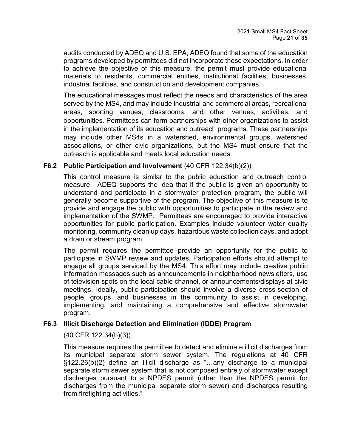audits conducted by ADEQ and U.S. EPA, ADEQ found that some of the education programs developed by permittees did not incorporate these expectations. In order to achieve the objective of this measure, the permit must provide educational materials to residents, commercial entities, institutional facilities, businesses, industrial facilities, and construction and development companies.

The educational messages must reflect the needs and characteristics of the area served by the MS4, and may include industrial and commercial areas, recreational areas, sporting venues, classrooms, and other venues, activities, and opportunities. Permittees can form partnerships with other organizations to assist in the implementation of its education and outreach programs. These partnerships may include other MS4s in a watershed, environmental groups, watershed associations, or other civic organizations, but the MS4 must ensure that the outreach is applicable and meets local education needs.

#### <span id="page-20-0"></span>**F6.2 Public Participation and Involvement** (40 CFR 122.34(b)(2))

This control measure is similar to the public education and outreach control measure. ADEQ supports the idea that if the public is given an opportunity to understand and participate in a stormwater protection program, the public will generally become supportive of the program. The objective of this measure is to provide and engage the public with opportunities to participate in the review and implementation of the SWMP. Permittees are encouraged to provide interactive opportunities for public participation. Examples include volunteer water quality monitoring, community clean up days, hazardous waste collection days, and adopt a drain or stream program.

The permit requires the permittee provide an opportunity for the public to participate in SWMP review and updates. Participation efforts should attempt to engage all groups serviced by the MS4. This effort may include creative public information messages such as announcements in neighborhood newsletters, use of television spots on the local cable channel, or announcements/displays at civic meetings. Ideally, public participation should involve a diverse cross-section of people, groups, and businesses in the community to assist in developing, implementing, and maintaining a comprehensive and effective stormwater program.

## <span id="page-20-1"></span>**F6.3 Illicit Discharge Detection and Elimination (IDDE) Program**

## (40 CFR 122.34(b)(3))

This measure requires the permittee to detect and eliminate illicit discharges from its municipal separate storm sewer system. The regulations at 40 CFR §122.26(b)(2) define an illicit discharge as "…any discharge to a municipal separate storm sewer system that is not composed entirely of stormwater except discharges pursuant to a NPDES permit (other than the NPDES permit for discharges from the municipal separate storm sewer) and discharges resulting from firefighting activities."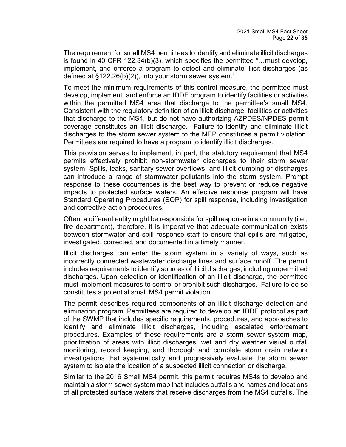The requirement for small MS4 permittees to identify and eliminate illicit discharges is found in 40 CFR 122.34(b)(3), which specifies the permittee "…must develop, implement, and enforce a program to detect and eliminate illicit discharges (as defined at §122.26(b)(2)), into your storm sewer system."

To meet the minimum requirements of this control measure, the permittee must develop, implement, and enforce an IDDE program to identify facilities or activities within the permitted MS4 area that discharge to the permittee's small MS4. Consistent with the regulatory definition of an illicit discharge, facilities or activities that discharge to the MS4, but do not have authorizing AZPDES/NPDES permit coverage constitutes an illicit discharge. Failure to identify and eliminate illicit discharges to the storm sewer system to the MEP constitutes a permit violation. Permittees are required to have a program to identify illicit discharges.

This provision serves to implement, in part, the statutory requirement that MS4 permits effectively prohibit non-stormwater discharges to their storm sewer system. Spills, leaks, sanitary sewer overflows, and illicit dumping or discharges can introduce a range of stormwater pollutants into the storm system. Prompt response to these occurrences is the best way to prevent or reduce negative impacts to protected surface waters. An effective response program will have Standard Operating Procedures (SOP) for spill response, including investigation and corrective action procedures.

Often, a different entity might be responsible for spill response in a community (i.e., fire department), therefore, it is imperative that adequate communication exists between stormwater and spill response staff to ensure that spills are mitigated, investigated, corrected, and documented in a timely manner.

Illicit discharges can enter the storm system in a variety of ways, such as incorrectly connected wastewater discharge lines and surface runoff. The permit includes requirements to identify sources of illicit discharges, including unpermitted discharges. Upon detection or identification of an illicit discharge, the permittee must implement measures to control or prohibit such discharges. Failure to do so constitutes a potential small MS4 permit violation.

The permit describes required components of an illicit discharge detection and elimination program. Permittees are required to develop an IDDE protocol as part of the SWMP that includes specific requirements, procedures, and approaches to identify and eliminate illicit discharges, including escalated enforcement procedures. Examples of these requirements are a storm sewer system map, prioritization of areas with illicit discharges, wet and dry weather visual outfall monitoring, record keeping, and thorough and complete storm drain network investigations that systematically and progressively evaluate the storm sewer system to isolate the location of a suspected illicit connection or discharge.

Similar to the 2016 Small MS4 permit, this permit requires MS4s to develop and maintain a storm sewer system map that includes outfalls and names and locations of all protected surface waters that receive discharges from the MS4 outfalls. The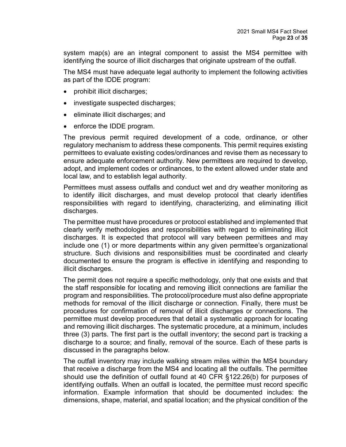system map(s) are an integral component to assist the MS4 permittee with identifying the source of illicit discharges that originate upstream of the outfall.

The MS4 must have adequate legal authority to implement the following activities as part of the IDDE program:

- prohibit illicit discharges;
- investigate suspected discharges;
- eliminate illicit discharges; and
- enforce the IDDE program.

The previous permit required development of a code, ordinance, or other regulatory mechanism to address these components. This permit requires existing permittees to evaluate existing codes/ordinances and revise them as necessary to ensure adequate enforcement authority. New permittees are required to develop, adopt, and implement codes or ordinances, to the extent allowed under state and local law, and to establish legal authority.

Permittees must assess outfalls and conduct wet and dry weather monitoring as to identify illicit discharges, and must develop protocol that clearly identifies responsibilities with regard to identifying, characterizing, and eliminating illicit discharges.

The permittee must have procedures or protocol established and implemented that clearly verify methodologies and responsibilities with regard to eliminating illicit discharges. It is expected that protocol will vary between permittees and may include one (1) or more departments within any given permittee's organizational structure. Such divisions and responsibilities must be coordinated and clearly documented to ensure the program is effective in identifying and responding to illicit discharges.

The permit does not require a specific methodology, only that one exists and that the staff responsible for locating and removing illicit connections are familiar the program and responsibilities. The protocol/procedure must also define appropriate methods for removal of the illicit discharge or connection. Finally, there must be procedures for confirmation of removal of illicit discharges or connections. The permittee must develop procedures that detail a systematic approach for locating and removing illicit discharges. The systematic procedure, at a minimum, includes three (3) parts. The first part is the outfall inventory; the second part is tracking a discharge to a source; and finally, removal of the source. Each of these parts is discussed in the paragraphs below.

The outfall inventory may include walking stream miles within the MS4 boundary that receive a discharge from the MS4 and locating all the outfalls. The permittee should use the definition of outfall found at 40 CFR §122.26(b) for purposes of identifying outfalls. When an outfall is located, the permittee must record specific information. Example information that should be documented includes: the dimensions, shape, material, and spatial location; and the physical condition of the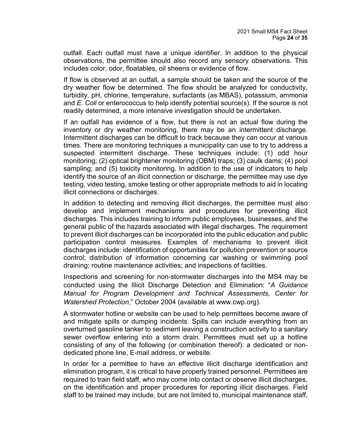outfall. Each outfall must have a unique identifier. In addition to the physical observations, the permittee should also record any sensory observations. This includes color, odor, floatables, oil sheens or evidence of flow.

If flow is observed at an outfall, a sample should be taken and the source of the dry weather flow be determined. The flow should be analyzed for conductivity, turbidity, pH, chlorine, temperature, surfactants (as MBAS), potassium, ammonia and *E. Coli* or enterococcus to help identify potential source(s). If the source is not readily determined, a more intensive investigation should be undertaken.

If an outfall has evidence of a flow, but there is not an actual flow during the inventory or dry weather monitoring, there may be an intermittent discharge. Intermittent discharges can be difficult to track because they can occur at various times. There are monitoring techniques a municipality can use to try to address a suspected intermittent discharge. These techniques include: (1) odd hour monitoring; (2) optical brightener monitoring (OBM) traps; (3) caulk dams; (4) pool sampling; and (5) toxicity monitoring. In addition to the use of indicators to help identify the source of an illicit connection or discharge, the permittee may use dye testing, video testing, smoke testing or other appropriate methods to aid in locating illicit connections or discharges.

In addition to detecting and removing illicit discharges, the permittee must also develop and implement mechanisms and procedures for preventing illicit discharges. This includes training to inform public employees, businesses, and the general public of the hazards associated with illegal discharges. The requirement to prevent illicit discharges can be incorporated into the public education and public participation control measures. Examples of mechanisms to prevent illicit discharges include: identification of opportunities for pollution prevention or source control; distribution of information concerning car washing or swimming pool draining; routine maintenance activities; and inspections of facilities.

Inspections and screening for non-stormwater discharges into the MS4 may be conducted using the Illicit Discharge Detection and Elimination: "*A Guidance Manual for Program Development and Technical Assessments, Center for Watershed Protection*," October 2004 (available at www.cwp.org).

A stormwater hotline or website can be used to help permittees become aware of and mitigate spills or dumping incidents. Spills can include everything from an overturned gasoline tanker to sediment leaving a construction activity to a sanitary sewer overflow entering into a storm drain. Permittees must set up a hotline consisting of any of the following (or combination thereof): a dedicated or nondedicated phone line, E-mail address, or website.

In order for a permittee to have an effective illicit discharge identification and elimination program, it is critical to have properly trained personnel. Permittees are required to train field staff, who may come into contact or observe illicit discharges, on the identification and proper procedures for reporting illicit discharges. Field staff to be trained may include, but are not limited to, municipal maintenance staff,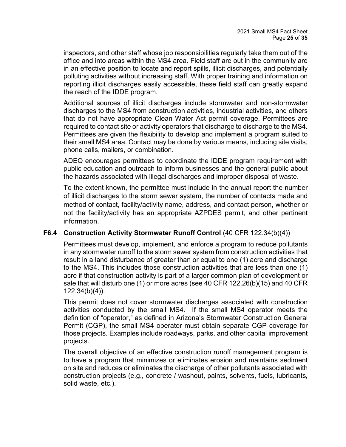inspectors, and other staff whose job responsibilities regularly take them out of the office and into areas within the MS4 area. Field staff are out in the community are in an effective position to locate and report spills, illicit discharges, and potentially polluting activities without increasing staff. With proper training and information on reporting illicit discharges easily accessible, these field staff can greatly expand the reach of the IDDE program.

Additional sources of illicit discharges include stormwater and non-stormwater discharges to the MS4 from construction activities, industrial activities, and others that do not have appropriate Clean Water Act permit coverage. Permittees are required to contact site or activity operators that discharge to discharge to the MS4. Permittees are given the flexibility to develop and implement a program suited to their small MS4 area. Contact may be done by various means, including site visits, phone calls, mailers, or combination.

ADEQ encourages permittees to coordinate the IDDE program requirement with public education and outreach to inform businesses and the general public about the hazards associated with illegal discharges and improper disposal of waste.

To the extent known, the permittee must include in the annual report the number of illicit discharges to the storm sewer system, the number of contacts made and method of contact, facility/activity name, address, and contact person, whether or not the facility/activity has an appropriate AZPDES permit, and other pertinent information.

## <span id="page-24-0"></span>**F6.4 Construction Activity Stormwater Runoff Control** (40 CFR 122.34(b)(4))

Permittees must develop, implement, and enforce a program to reduce pollutants in any stormwater runoff to the storm sewer system from construction activities that result in a land disturbance of greater than or equal to one (1) acre and discharge to the MS4. This includes those construction activities that are less than one (1) acre if that construction activity is part of a larger common plan of development or sale that will disturb one (1) or more acres (see 40 CFR 122.26(b)(15) and 40 CFR 122.34(b)(4)).

This permit does not cover stormwater discharges associated with construction activities conducted by the small MS4. If the small MS4 operator meets the definition of "operator," as defined in Arizona's Stormwater Construction General Permit (CGP), the small MS4 operator must obtain separate CGP coverage for those projects. Examples include roadways, parks, and other capital improvement projects.

The overall objective of an effective construction runoff management program is to have a program that minimizes or eliminates erosion and maintains sediment on site and reduces or eliminates the discharge of other pollutants associated with construction projects (e.g., concrete / washout, paints, solvents, fuels, lubricants, solid waste, etc.).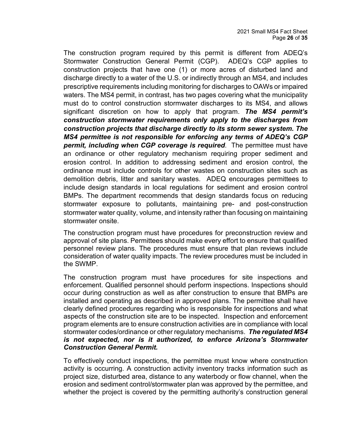The construction program required by this permit is different from ADEQ's Stormwater Construction General Permit (CGP). ADEQ's CGP applies to construction projects that have one (1) or more acres of disturbed land and discharge directly to a water of the U.S. or indirectly through an MS4, and includes prescriptive requirements including monitoring for discharges to OAWs or impaired waters. The MS4 permit, in contrast, has two pages covering what the municipality must do to control construction stormwater discharges to its MS4, and allows significant discretion on how to apply that program. *The MS4 permit's construction stormwater requirements only apply to the discharges from construction projects that discharge directly to its storm sewer system. The MS4 permittee is not responsible for enforcing any terms of ADEQ's CGP permit, including when CGP coverage is required*. The permittee must have an ordinance or other regulatory mechanism requiring proper sediment and erosion control. In addition to addressing sediment and erosion control, the ordinance must include controls for other wastes on construction sites such as demolition debris, litter and sanitary wastes. ADEQ encourages permittees to include design standards in local regulations for sediment and erosion control BMPs. The department recommends that design standards focus on reducing stormwater exposure to pollutants, maintaining pre- and post-construction stormwater water quality, volume, and intensity rather than focusing on maintaining stormwater onsite.

The construction program must have procedures for preconstruction review and approval of site plans. Permittees should make every effort to ensure that qualified personnel review plans. The procedures must ensure that plan reviews include consideration of water quality impacts. The review procedures must be included in the SWMP.

The construction program must have procedures for site inspections and enforcement. Qualified personnel should perform inspections. Inspections should occur during construction as well as after construction to ensure that BMPs are installed and operating as described in approved plans. The permittee shall have clearly defined procedures regarding who is responsible for inspections and what aspects of the construction site are to be inspected. Inspection and enforcement program elements are to ensure construction activities are in compliance with local stormwater codes/ordinance or other regulatory mechanisms. *The regulated MS4 is not expected, nor is it authorized, to enforce Arizona's Stormwater Construction General Permit.* 

To effectively conduct inspections, the permittee must know where construction activity is occurring. A construction activity inventory tracks information such as project size, disturbed area, distance to any waterbody or flow channel, when the erosion and sediment control/stormwater plan was approved by the permittee, and whether the project is covered by the permitting authority's construction general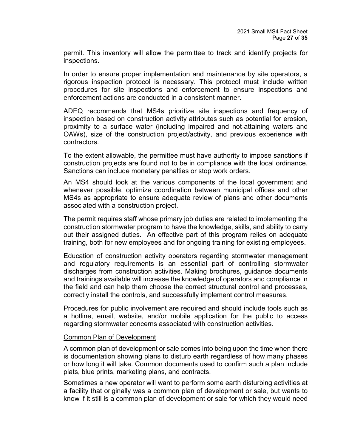permit. This inventory will allow the permittee to track and identify projects for inspections.

In order to ensure proper implementation and maintenance by site operators, a rigorous inspection protocol is necessary. This protocol must include written procedures for site inspections and enforcement to ensure inspections and enforcement actions are conducted in a consistent manner.

ADEQ recommends that MS4s prioritize site inspections and frequency of inspection based on construction activity attributes such as potential for erosion, proximity to a surface water (including impaired and not-attaining waters and OAWs), size of the construction project/activity, and previous experience with contractors.

To the extent allowable, the permittee must have authority to impose sanctions if construction projects are found not to be in compliance with the local ordinance. Sanctions can include monetary penalties or stop work orders.

An MS4 should look at the various components of the local government and whenever possible, optimize coordination between municipal offices and other MS4s as appropriate to ensure adequate review of plans and other documents associated with a construction project.

The permit requires staff whose primary job duties are related to implementing the construction stormwater program to have the knowledge, skills, and ability to carry out their assigned duties. An effective part of this program relies on adequate training, both for new employees and for ongoing training for existing employees.

Education of construction activity operators regarding stormwater management and regulatory requirements is an essential part of controlling stormwater discharges from construction activities. Making brochures, guidance documents and trainings available will increase the knowledge of operators and compliance in the field and can help them choose the correct structural control and processes, correctly install the controls, and successfully implement control measures.

Procedures for public involvement are required and should include tools such as a hotline, email, website, and/or mobile application for the public to access regarding stormwater concerns associated with construction activities.

#### Common Plan of Development

A common plan of development or sale comes into being upon the time when there is documentation showing plans to disturb earth regardless of how many phases or how long it will take. Common documents used to confirm such a plan include plats, blue prints, marketing plans, and contracts.

Sometimes a new operator will want to perform some earth disturbing activities at a facility that originally was a common plan of development or sale, but wants to know if it still is a common plan of development or sale for which they would need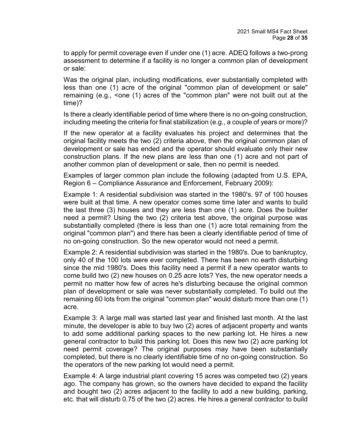to apply for permit coverage even if under one (1) acre. ADEQ follows a two-prong assessment to determine if a facility is no longer a common plan of development or sale:

Was the original plan, including modifications, ever substantially completed with less than one (1) acre of the original "common plan of development or sale" remaining (e.g., <one (1) acres of the "common plan" were not built out at the time)?

Is there a clearly identifiable period of time where there is no on-going construction, including meeting the criteria for final stabilization (e.g., a couple of years or more)?

If the new operator at a facility evaluates his project and determines that the original facility meets the two (2) criteria above, then the original common plan of development or sale has ended and the operator should evaluate only their new construction plans. If the new plans are less than one (1) acre and not part of another common plan of development or sale, then no permit is needed.

Examples of larger common plan include the following (adapted from U.S. EPA, Region 6 – Compliance Assurance and Enforcement, February 2009):

Example 1: A residential subdivision was started in the 1980's. 97 of 100 houses were built at that time. A new operator comes some time later and wants to build the last three (3) houses and they are less than one (1) acre. Does the builder need a permit? Using the two (2) criteria test above, the original purpose was substantially completed (there is less than one (1) acre total remaining from the original "common plan") and there has been a clearly identifiable period of time of no on-going construction. So the new operator would not need a permit.

Example 2: A residential subdivision was started in the 1980's. Due to bankruptcy, only 40 of the 100 lots were ever completed. There has been no earth disturbing since the mid 1980's. Does this facility need a permit if a new operator wants to come build two (2) new houses on 0.25 acre lots? Yes, the new operator needs a permit no matter how few of acres he's disturbing because the original common plan of development or sale was never substantially completed. To build out the remaining 60 lots from the original "common plan" would disturb more than one (1) acre.

Example 3: A large mall was started last year and finished last month. At the last minute, the developer is able to buy two (2) acres of adjacent property and wants to add some additional parking spaces to the new parking lot. He hires a new general contractor to build this parking lot. Does this new two (2) acre parking lot need permit coverage? The original purposes may have been substantially completed, but there is no clearly identifiable time of no on-going construction. So the operators of the new parking lot would need a permit.

Example 4: A large industrial plant covering 15 acres was competed two (2) years ago. The company has grown, so the owners have decided to expand the facility and bought two (2) acres adjacent to the facility to add a new building, parking, etc. that will disturb 0.75 of the two (2) acres. He hires a general contractor to build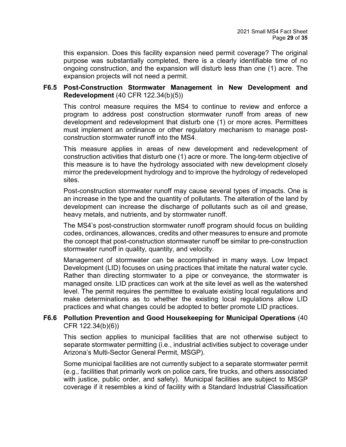this expansion. Does this facility expansion need permit coverage? The original purpose was substantially completed, there is a clearly identifiable time of no ongoing construction, and the expansion will disturb less than one (1) acre. The expansion projects will not need a permit.

#### <span id="page-28-0"></span>**F6.5 Post-Construction Stormwater Management in New Development and Redevelopment** (40 CFR 122.34(b)(5))

This control measure requires the MS4 to continue to review and enforce a program to address post construction stormwater runoff from areas of new development and redevelopment that disturb one (1) or more acres. Permittees must implement an ordinance or other regulatory mechanism to manage postconstruction stormwater runoff into the MS4.

This measure applies in areas of new development and redevelopment of construction activities that disturb one (1) acre or more. The long-term objective of this measure is to have the hydrology associated with new development closely mirror the predevelopment hydrology and to improve the hydrology of redeveloped sites.

Post-construction stormwater runoff may cause several types of impacts. One is an increase in the type and the quantity of pollutants. The alteration of the land by development can increase the discharge of pollutants such as oil and grease, heavy metals, and nutrients, and by stormwater runoff.

The MS4's post-construction stormwater runoff program should focus on building codes, ordinances, allowances, credits and other measures to ensure and promote the concept that post-construction stormwater runoff be similar to pre-construction stormwater runoff in quality, quantity, and velocity.

Management of stormwater can be accomplished in many ways. Low Impact Development (LID) focuses on using practices that imitate the natural water cycle. Rather than directing stormwater to a pipe or conveyance, the stormwater is managed onsite. LID practices can work at the site level as well as the watershed level. The permit requires the permittee to evaluate existing local regulations and make determinations as to whether the existing local regulations allow LID practices and what changes could be adopted to better promote LID practices.

#### <span id="page-28-1"></span>**F6.6 Pollution Prevention and Good Housekeeping for Municipal Operations** (40 CFR 122.34(b)(6))

This section applies to municipal facilities that are not otherwise subject to separate stormwater permitting (i.e., industrial activities subject to coverage under Arizona's Multi-Sector General Permit, MSGP).

Some municipal facilities are not currently subject to a separate stormwater permit (e.g., facilities that primarily work on police cars, fire trucks, and others associated with justice, public order, and safety). Municipal facilities are subject to MSGP coverage if it resembles a kind of facility with a Standard Industrial Classification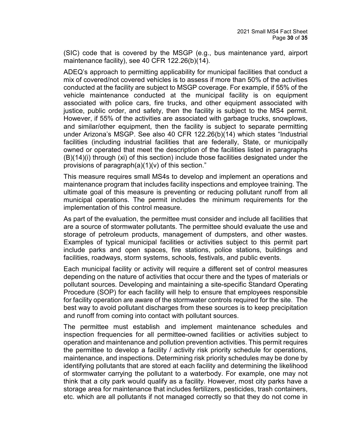(SIC) code that is covered by the MSGP (e.g., bus maintenance yard, airport maintenance facility), see 40 CFR 122.26(b)(14).

ADEQ's approach to permitting applicability for municipal facilities that conduct a mix of covered/not covered vehicles is to assess if more than 50% of the activities conducted at the facility are subject to MSGP coverage. For example, if 55% of the vehicle maintenance conducted at the municipal facility is on equipment associated with police cars, fire trucks, and other equipment associated with justice, public order, and safety, then the facility is subject to the MS4 permit. However, if 55% of the activities are associated with garbage trucks, snowplows, and similar/other equipment, then the facility is subject to separate permitting under Arizona's MSGP. See also 40 CFR 122.26(b)(14) which states "Industrial facilities (including industrial facilities that are federally, State, or municipally owned or operated that meet the description of the facilities listed in paragraphs (B)(14)(i) through (xi) of this section) include those facilities designated under the provisions of paragraph(a)(1)(v) of this section."

This measure requires small MS4s to develop and implement an operations and maintenance program that includes facility inspections and employee training. The ultimate goal of this measure is preventing or reducing pollutant runoff from all municipal operations. The permit includes the minimum requirements for the implementation of this control measure.

As part of the evaluation, the permittee must consider and include all facilities that are a source of stormwater pollutants. The permittee should evaluate the use and storage of petroleum products, management of dumpsters, and other wastes. Examples of typical municipal facilities or activities subject to this permit part include parks and open spaces, fire stations, police stations, buildings and facilities, roadways, storm systems, schools, festivals, and public events.

Each municipal facility or activity will require a different set of control measures depending on the nature of activities that occur there and the types of materials or pollutant sources. Developing and maintaining a site-specific Standard Operating Procedure (SOP) for each facility will help to ensure that employees responsible for facility operation are aware of the stormwater controls required for the site. The best way to avoid pollutant discharges from these sources is to keep precipitation and runoff from coming into contact with pollutant sources.

The permittee must establish and implement maintenance schedules and inspection frequencies for all permittee-owned facilities or activities subject to operation and maintenance and pollution prevention activities. This permit requires the permittee to develop a facility / activity risk priority schedule for operations, maintenance, and inspections. Determining risk priority schedules may be done by identifying pollutants that are stored at each facility and determining the likelihood of stormwater carrying the pollutant to a waterbody. For example, one may not think that a city park would qualify as a facility. However, most city parks have a storage area for maintenance that includes fertilizers, pesticides, trash containers, etc. which are all pollutants if not managed correctly so that they do not come in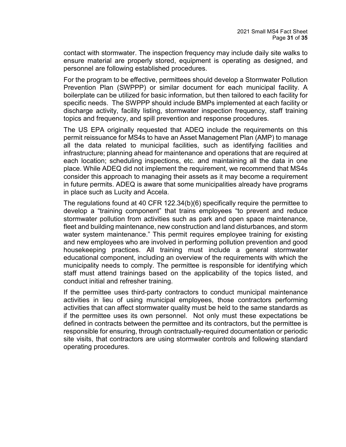contact with stormwater. The inspection frequency may include daily site walks to ensure material are properly stored, equipment is operating as designed, and personnel are following established procedures.

For the program to be effective, permittees should develop a Stormwater Pollution Prevention Plan (SWPPP) or similar document for each municipal facility. A boilerplate can be utilized for basic information, but then tailored to each facility for specific needs. The SWPPP should include BMPs implemented at each facility or discharge activity, facility listing, stormwater inspection frequency, staff training topics and frequency, and spill prevention and response procedures.

The US EPA originally requested that ADEQ include the requirements on this permit reissuance for MS4s to have an Asset Management Plan (AMP) to manage all the data related to municipal facilities, such as identifying facilities and infrastructure; planning ahead for maintenance and operations that are required at each location; scheduling inspections, etc. and maintaining all the data in one place. While ADEQ did not implement the requirement, we recommend that MS4s consider this approach to managing their assets as it may become a requirement in future permits. ADEQ is aware that some municipalities already have programs in place such as Lucity and Accela.

The regulations found at 40 CFR 122.34(b)(6) specifically require the permittee to develop a "training component" that trains employees "to prevent and reduce stormwater pollution from activities such as park and open space maintenance, fleet and building maintenance, new construction and land disturbances, and storm water system maintenance." This permit requires employee training for existing and new employees who are involved in performing pollution prevention and good housekeeping practices. All training must include a general stormwater educational component, including an overview of the requirements with which the municipality needs to comply. The permittee is responsible for identifying which staff must attend trainings based on the applicability of the topics listed, and conduct initial and refresher training.

If the permittee uses third-party contractors to conduct municipal maintenance activities in lieu of using municipal employees, those contractors performing activities that can affect stormwater quality must be held to the same standards as if the permittee uses its own personnel. Not only must these expectations be defined in contracts between the permittee and its contractors, but the permittee is responsible for ensuring, through contractually-required documentation or periodic site visits, that contractors are using stormwater controls and following standard operating procedures.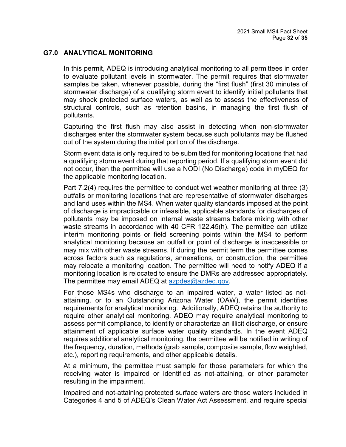### <span id="page-31-0"></span>**G7.0 ANALYTICAL MONITORING**

In this permit, ADEQ is introducing analytical monitoring to all permittees in order to evaluate pollutant levels in stormwater. The permit requires that stormwater samples be taken, whenever possible, during the "first flush" (first 30 minutes of stormwater discharge) of a qualifying storm event to identify initial pollutants that may shock protected surface waters, as well as to assess the effectiveness of structural controls, such as retention basins, in managing the first flush of pollutants.

Capturing the first flush may also assist in detecting when non-stormwater discharges enter the stormwater system because such pollutants may be flushed out of the system during the initial portion of the discharge.

Storm event data is only required to be submitted for monitoring locations that had a qualifying storm event during that reporting period. If a qualifying storm event did not occur, then the permittee will use a NODI (No Discharge) code in myDEQ for the applicable monitoring location.

Part 7.2(4) requires the permittee to conduct wet weather monitoring at three (3) outfalls or monitoring locations that are representative of stormwater discharges and land uses within the MS4. When water quality standards imposed at the point of discharge is impracticable or infeasible, applicable standards for discharges of pollutants may be imposed on internal waste streams before mixing with other waste streams in accordance with 40 CFR 122.45(h). The permittee can utilize interim monitoring points or field screening points within the MS4 to perform analytical monitoring because an outfall or point of discharge is inaccessible or may mix with other waste streams. If during the permit term the permittee comes across factors such as regulations, annexations, or construction, the permittee may relocate a monitoring location. The permittee will need to notify ADEQ if a monitoring location is relocated to ensure the DMRs are addressed appropriately. The permittee may email ADEQ at [azpdes@azdeq.gov.](mailto:azpdes@azdeq.gov)

For those MS4s who discharge to an impaired water, a water listed as notattaining, or to an Outstanding Arizona Water (OAW), the permit identifies requirements for analytical monitoring. Additionally, ADEQ retains the authority to require other analytical monitoring. ADEQ may require analytical monitoring to assess permit compliance, to identify or characterize an illicit discharge, or ensure attainment of applicable surface water quality standards. In the event ADEQ requires additional analytical monitoring, the permittee will be notified in writing of the frequency, duration, methods (grab sample, composite sample, flow weighted, etc.), reporting requirements, and other applicable details.

At a minimum, the permittee must sample for those parameters for which the receiving water is impaired or identified as not-attaining, or other parameter resulting in the impairment.

Impaired and not-attaining protected surface waters are those waters included in Categories 4 and 5 of ADEQ's Clean Water Act Assessment, and require special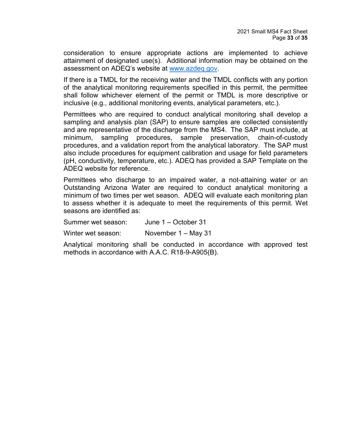consideration to ensure appropriate actions are implemented to achieve attainment of designated use(s). Additional information may be obtained on the assessment on ADEQ's website at [www.azdeq.gov.](http://www.azdeq.gov/)

If there is a TMDL for the receiving water and the TMDL conflicts with any portion of the analytical monitoring requirements specified in this permit, the permittee shall follow whichever element of the permit or TMDL is more descriptive or inclusive (e.g., additional monitoring events, analytical parameters, etc.).

Permittees who are required to conduct analytical monitoring shall develop a sampling and analysis plan (SAP) to ensure samples are collected consistently and are representative of the discharge from the MS4. The SAP must include, at minimum, sampling procedures, sample preservation, chain-of-custody procedures, and a validation report from the analytical laboratory. The SAP must also include procedures for equipment calibration and usage for field parameters (pH, conductivity, temperature, etc.). ADEQ has provided a SAP Template on the ADEQ website for reference.

Permittees who discharge to an impaired water, a not-attaining water or an Outstanding Arizona Water are required to conduct analytical monitoring a minimum of two times per wet season. ADEQ will evaluate each monitoring plan to assess whether it is adequate to meet the requirements of this permit. Wet seasons are identified as:

Summer wet season: June 1 – October 31

Winter wet season: November 1 – May 31

<span id="page-32-0"></span>Analytical monitoring shall be conducted in accordance with approved test methods in accordance with A.A.C. R18-9-A905(B).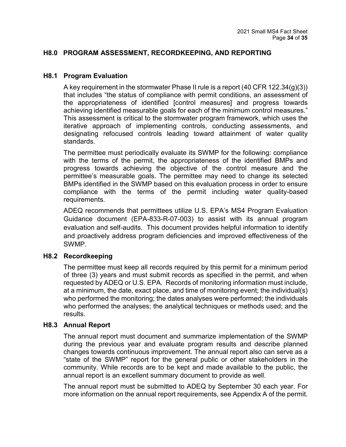### **H8.0 PROGRAM ASSESSMENT, RECORDKEEPING, AND REPORTING**

#### <span id="page-33-0"></span>**H8.1 Program Evaluation**

A key requirement in the stormwater Phase II rule is a report (40 CFR 122.34(g)(3)) that includes "the status of compliance with permit conditions, an assessment of the appropriateness of identified [control measures] and progress towards achieving identified measurable goals for each of the minimum control measures." This assessment is critical to the stormwater program framework, which uses the iterative approach of implementing controls, conducting assessments, and designating refocused controls leading toward attainment of water quality standards.

The permittee must periodically evaluate its SWMP for the following: compliance with the terms of the permit, the appropriateness of the identified BMPs and progress towards achieving the objective of the control measure and the permittee's measurable goals. The permittee may need to change its selected BMPs identified in the SWMP based on this evaluation process in order to ensure compliance with the terms of the permit including water quality-based requirements.

ADEQ recommends that permittees utilize U.S. EPA's MS4 Program Evaluation Guidance document (EPA-833-R-07-003) to assist with its annual program evaluation and self-audits. This document provides helpful information to identify and proactively address program deficiencies and improved effectiveness of the SWMP.

#### <span id="page-33-1"></span>**H8.2 Recordkeeping**

The permittee must keep all records required by this permit for a minimum period of three (3) years and must submit records as specified in the permit, and when requested by ADEQ or U.S. EPA. Records of monitoring information must include, at a minimum, the date, exact place, and time of monitoring event; the individual(s) who performed the monitoring; the dates analyses were performed; the individuals who performed the analyses; the analytical techniques or methods used; and the results.

#### <span id="page-33-2"></span>**H8.3 Annual Report**

The annual report must document and summarize implementation of the SWMP during the previous year and evaluate program results and describe planned changes towards continuous improvement. The annual report also can serve as a "state of the SWMP" report for the general public or other stakeholders in the community. While records are to be kept and made available to the public, the annual report is an excellent summary document to provide as well.

The annual report must be submitted to ADEQ by September 30 each year. For more information on the annual report requirements, see Appendix A of the permit.